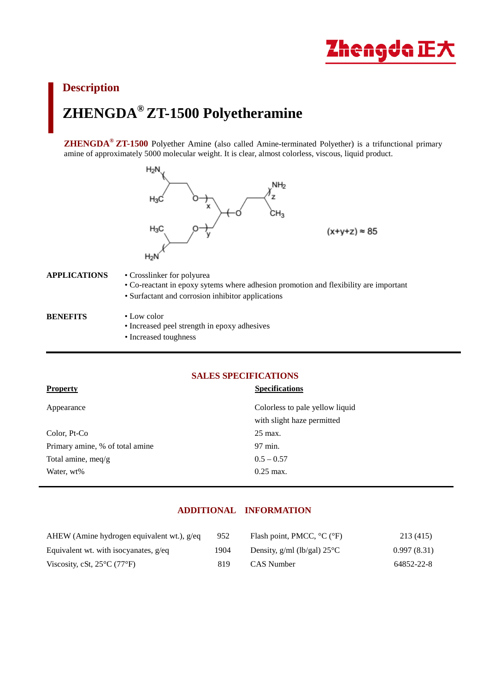

# **Description ZHENGDA® ZT-1500 Polyetheramine**

**ZHENGDA® ZT-1500** Polyether Amine (also called Amine-terminated Polyether) is a trifunctional primary amine of approximately 5000 molecular weight. It is clear, almost colorless, viscous, liquid product.



#### **APPLICATIONS** • Crosslinker for polyurea

- Co-reactant in epoxy sytems where adhesion promotion and flexibility are important
	- Surfactant and corrosion inhibitor applications
- **BENEFITS** Low color

 $\overline{a}$ 

- Increased peel strength in epoxy adhesives
- Increased toughness

## **SALES SPECIFICATIONS**

| <b>Property</b>                 | <b>Specifications</b>                                         |
|---------------------------------|---------------------------------------------------------------|
| Appearance                      | Colorless to pale yellow liquid<br>with slight haze permitted |
| Color, Pt-Co                    | 25 max.                                                       |
| Primary amine, % of total amine | 97 min.                                                       |
| Total amine, meq/g              | $0.5 - 0.57$                                                  |
| Water, wt%                      | $0.25$ max.                                                   |
|                                 |                                                               |

# **ADDITIONAL INFORMATION**

| AHEW (Amine hydrogen equivalent wt.), g/eq       | 952  | Flash point, PMCC, $^{\circ}C$ ( $^{\circ}F$ ) | 213 (415)   |
|--------------------------------------------------|------|------------------------------------------------|-------------|
| Equivalent wt. with isocyanates, $g$ /eq         | 1904 | Density, $g/ml$ (lb/gal) $25^{\circ}$ C        | 0.997(8.31) |
| Viscosity, cSt, $25^{\circ}$ C (77 $^{\circ}$ F) | 819  | CAS Number                                     | 64852-22-8  |